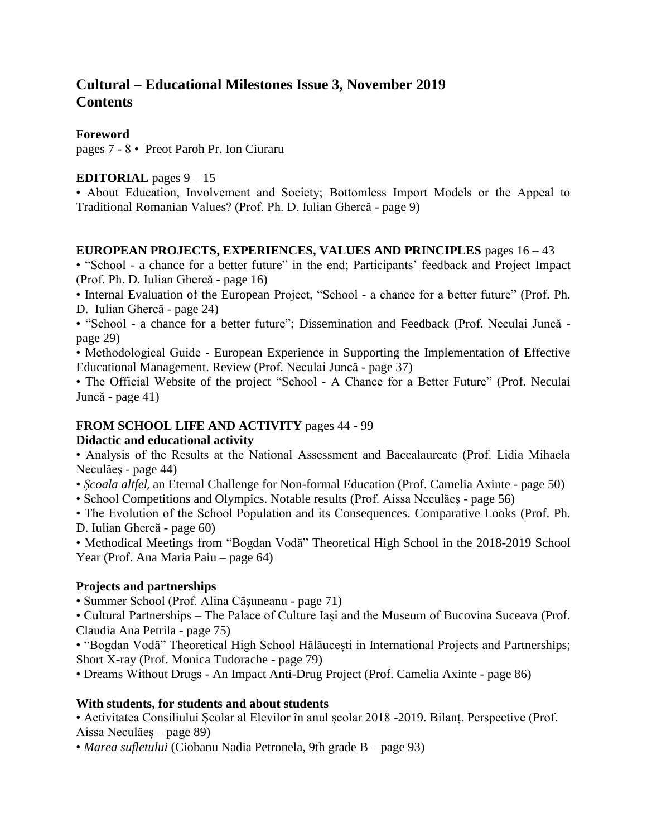# **Cultural – Educational Milestones Issue 3, November 2019 Contents**

### **Foreword**

pages 7 - 8 • Preot Paroh Pr. Ion Ciuraru

### **EDITORIAL** pages  $9 - 15$

• About Education, Involvement and Society; Bottomless Import Models or the Appeal to Traditional Romanian Values? (Prof. Ph. D. Iulian Ghercă - page 9)

#### **EUROPEAN PROJECTS, EXPERIENCES, VALUES AND PRINCIPLES** pages 16 – 43

• "School - a chance for a better future" in the end; Participants' feedback and Project Impact (Prof. Ph. D. Iulian Ghercă - page 16)

• Internal Evaluation of the European Project, "School - a chance for a better future" (Prof. Ph. D. Iulian Ghercă - page 24)

• "School - a chance for a better future"; Dissemination and Feedback (Prof. Neculai Juncă page 29)

• Methodological Guide - European Experience in Supporting the Implementation of Effective Educational Management. Review (Prof. Neculai Juncă - page 37)

• The Official Website of the project "School - A Chance for a Better Future" (Prof. Neculai Juncă - page 41)

#### **FROM SCHOOL LIFE AND ACTIVITY** pages 44 - 99

#### **Didactic and educational activity**

• Analysis of the Results at the National Assessment and Baccalaureate (Prof. Lidia Mihaela Neculăeş - page 44)

• *Școala altfel,* an Eternal Challenge for Non-formal Education (Prof. Camelia Axinte - page 50)

• School Competitions and Olympics. Notable results (Prof. Aissa Neculăeș - page 56)

• The Evolution of the School Population and its Consequences. Comparative Looks (Prof. Ph. D. Iulian Ghercă - page 60)

• Methodical Meetings from "Bogdan Vodă" Theoretical High School in the 2018-2019 School Year (Prof. Ana Maria Paiu – page 64)

## **Projects and partnerships**

• Summer School (Prof. Alina Căşuneanu - page 71)

• Cultural Partnerships – The Palace of Culture Iași and the Museum of Bucovina Suceava (Prof. Claudia Ana Petrila - page 75)

• "Bogdan Vodă" Theoretical High School Hălăucești in International Projects and Partnerships; Short X-ray (Prof. Monica Tudorache - page 79)

• Dreams Without Drugs - An Impact Anti-Drug Project (Prof. Camelia Axinte - page 86)

## **With students, for students and about students**

• Activitatea Consiliului Școlar al Elevilor în anul școlar 2018 -2019. Bilanț. Perspective (Prof. Aissa Neculăeș – page 89)

• *Marea sufletului* (Ciobanu Nadia Petronela, 9th grade B – page 93)